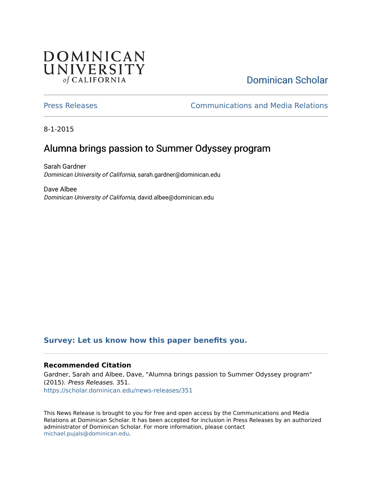## **DOMINICAN** UNIVERSITY of CALIFORNIA

# [Dominican Scholar](https://scholar.dominican.edu/)

[Press Releases](https://scholar.dominican.edu/news-releases) [Communications and Media Relations](https://scholar.dominican.edu/communications-media) 

8-1-2015

## Alumna brings passion to Summer Odyssey program

Sarah Gardner Dominican University of California, sarah.gardner@dominican.edu

Dave Albee Dominican University of California, david.albee@dominican.edu

#### **[Survey: Let us know how this paper benefits you.](https://dominican.libwizard.com/dominican-scholar-feedback)**

#### **Recommended Citation**

Gardner, Sarah and Albee, Dave, "Alumna brings passion to Summer Odyssey program" (2015). Press Releases. 351. [https://scholar.dominican.edu/news-releases/351](https://scholar.dominican.edu/news-releases/351?utm_source=scholar.dominican.edu%2Fnews-releases%2F351&utm_medium=PDF&utm_campaign=PDFCoverPages)

This News Release is brought to you for free and open access by the Communications and Media Relations at Dominican Scholar. It has been accepted for inclusion in Press Releases by an authorized administrator of Dominican Scholar. For more information, please contact [michael.pujals@dominican.edu.](mailto:michael.pujals@dominican.edu)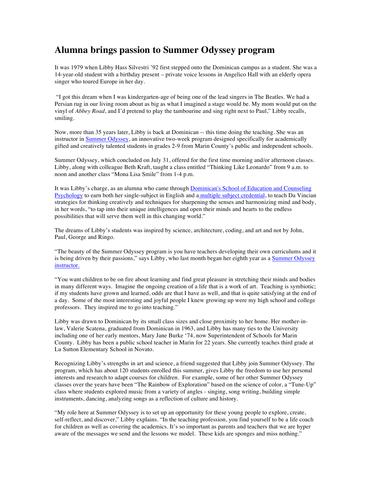### **Alumna brings passion to Summer Odyssey program**

It was 1979 when Libby Hass Silvestri '92 first stepped onto the Dominican campus as a student. She was a 14-year-old student with a birthday present – private voice lessons in Angelico Hall with an elderly opera singer who toured Europe in her day.

"I got this dream when I was kindergarten-age of being one of the lead singers in The Beatles. We had a Persian rug in our living room about as big as what I imagined a stage would be. My mom would put on the vinyl of *Abbey Road*, and I'd pretend to play the tambourine and sing right next to Paul," Libby recalls, smiling.

Now, more than 35 years later, Libby is back at Dominican -- this time doing the teaching. She was an instructor in Summer Odyssey, an innovative two-week program designed specifically for academically gifted and creatively talented students in grades 2-9 from Marin County's public and independent schools.

Summer Odyssey, which concluded on July 31, offered for the first time morning and/or afternoon classes. Libby, along with colleague Beth Kraft, taught a class entitled "Thinking Like Leonardo" from 9 a.m. to noon and another class "Mona Lisa Smile" from 1-4 p.m.

It was Libby's charge, as an alumna who came through Dominican's School of Education and Counseling Psychology to earn both her single-subject in English and a multiple subject credential, to teach Da Vincian strategies for thinking creatively and techniques for sharpening the senses and harmonizing mind and body, in her words, "to tap into their unique intelligences and open their minds and hearts to the endless possibilities that will serve them well in this changing world."

The dreams of Libby's students was inspired by science, architecture, coding, and art and not by John, Paul, George and Ringo.

"The beauty of the Summer Odyssey program is you have teachers developing their own curriculums and it is being driven by their passions," says Libby, who last month began her eighth year as a Summer Odyssey instructor.

"You want children to be on fire about learning and find great pleasure in stretching their minds and bodies in many different ways. Imagine the ongoing creation of a life that is a work of art. Teaching is symbiotic; if my students have grown and learned, odds are that I have as well, and that is quite satisfying at the end of a day. Some of the most interesting and joyful people I knew growing up were my high school and college professors. They inspired me to go into teaching."

Libby was drawn to Dominican by its small class sizes and close proximity to her home. Her mother-inlaw, Valerie Scatena, graduated from Dominican in 1963, and Libby has many ties to the University including one of her early mentors, Mary Jane Burke '74, now Superintendent of Schools for Marin County. Libby has been a public school teacher in Marin for 22 years. She currently teaches third grade at Lu Sutton Elementary School in Novato.

Recognizing Libby's strengths in art and science, a friend suggested that Libby join Summer Odyssey. The program, which has about 120 students enrolled this summer, gives Libby the freedom to use her personal interests and research to adapt courses for children. For example, some of her other Summer Odyssey classes over the years have been "The Rainbow of Exploration" based on the science of color, a "Tune-Up" class where students explored music from a variety of angles - singing, song writing, building simple instruments, dancing, analyzing songs as a reflection of culture and history.

"My role here at Summer Odyssey is to set up an opportunity for these young people to explore, create, self-reflect, and discover," Libby explains. "In the teaching profession, you find yourself to be a life coach for children as well as covering the academics. It's so important as parents and teachers that we are hyper aware of the messages we send and the lessons we model. These kids are sponges and miss nothing."